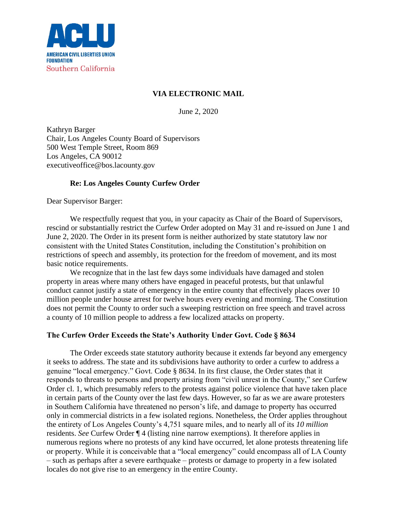

## **VIA ELECTRONIC MAIL**

June 2, 2020

Kathryn Barger Chair, Los Angeles County Board of Supervisors 500 West Temple Street, Room 869 Los Angeles, CA 90012 executiveoffice@bos.lacounty.gov

# **Re: Los Angeles County Curfew Order**

Dear Supervisor Barger:

We respectfully request that you, in your capacity as Chair of the Board of Supervisors, rescind or substantially restrict the Curfew Order adopted on May 31 and re-issued on June 1 and June 2, 2020. The Order in its present form is neither authorized by state statutory law nor consistent with the United States Constitution, including the Constitution's prohibition on restrictions of speech and assembly, its protection for the freedom of movement, and its most basic notice requirements.

We recognize that in the last few days some individuals have damaged and stolen property in areas where many others have engaged in peaceful protests, but that unlawful conduct cannot justify a state of emergency in the entire county that effectively places over 10 million people under house arrest for twelve hours every evening and morning. The Constitution does not permit the County to order such a sweeping restriction on free speech and travel across a county of 10 million people to address a few localized attacks on property.

# **The Curfew Order Exceeds the State's Authority Under Govt. Code § 8634**

The Order exceeds state statutory authority because it extends far beyond any emergency it seeks to address. The state and its subdivisions have authority to order a curfew to address a genuine "local emergency." Govt. Code § 8634. In its first clause, the Order states that it responds to threats to persons and property arising from "civil unrest in the County," *see* Curfew Order cl. 1, which presumably refers to the protests against police violence that have taken place in certain parts of the County over the last few days. However, so far as we are aware protesters in Southern California have threatened no person's life, and damage to property has occurred only in commercial districts in a few isolated regions. Nonetheless, the Order applies throughout the entirety of Los Angeles County's 4,751 square miles, and to nearly all of its *10 million* residents. *See* Curfew Order ¶ 4 (listing nine narrow exemptions). It therefore applies in numerous regions where no protests of any kind have occurred, let alone protests threatening life or property. While it is conceivable that a "local emergency" could encompass all of LA County – such as perhaps after a severe earthquake – protests or damage to property in a few isolated locales do not give rise to an emergency in the entire County.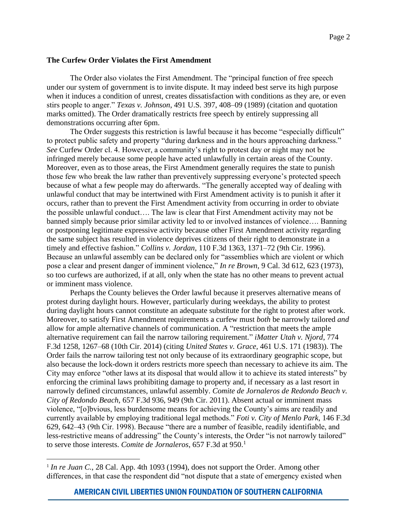### **The Curfew Order Violates the First Amendment**

The Order also violates the First Amendment. The "principal function of free speech under our system of government is to invite dispute. It may indeed best serve its high purpose when it induces a condition of unrest, creates dissatisfaction with conditions as they are, or even stirs people to anger." *Texas v. Johnson*, 491 U.S. 397, 408–09 (1989) (citation and quotation marks omitted). The Order dramatically restricts free speech by entirely suppressing all demonstrations occurring after 6pm.

The Order suggests this restriction is lawful because it has become "especially difficult" to protect public safety and property "during darkness and in the hours approaching darkness." *See* Curfew Order cl. 4. However, a community's right to protest day or night may not be infringed merely because some people have acted unlawfully in certain areas of the County. Moreover, even as to those areas, the First Amendment generally requires the state to punish those few who break the law rather than preventively suppressing everyone's protected speech because of what a few people may do afterwards. "The generally accepted way of dealing with unlawful conduct that may be intertwined with First Amendment activity is to punish it after it occurs, rather than to prevent the First Amendment activity from occurring in order to obviate the possible unlawful conduct…. The law is clear that First Amendment activity may not be banned simply because prior similar activity led to or involved instances of violence…. Banning or postponing legitimate expressive activity because other First Amendment activity regarding the same subject has resulted in violence deprives citizens of their right to demonstrate in a timely and effective fashion." *Collins v. Jordan*, 110 F.3d 1363, 1371–72 (9th Cir. 1996). Because an unlawful assembly can be declared only for "assemblies which are violent or which pose a clear and present danger of imminent violence," *In re Brown*, 9 Cal. 3d 612, 623 (1973), so too curfews are authorized, if at all, only when the state has no other means to prevent actual or imminent mass violence.

Perhaps the County believes the Order lawful because it preserves alternative means of protest during daylight hours. However, particularly during weekdays, the ability to protest during daylight hours cannot constitute an adequate substitute for the right to protest after work. Moreover, to satisfy First Amendment requirements a curfew must *both* be narrowly tailored *and* allow for ample alternative channels of communication. A "restriction that meets the ample alternative requirement can fail the narrow tailoring requirement." *iMatter Utah v. Njord*, 774 F.3d 1258, 1267–68 (10th Cir. 2014) (citing *United States v. Grace,* 461 U.S. 171 (1983)). The Order fails the narrow tailoring test not only because of its extraordinary geographic scope, but also because the lock-down it orders restricts more speech than necessary to achieve its aim. The City may enforce "other laws at its disposal that would allow it to achieve its stated interests" by enforcing the criminal laws prohibiting damage to property and, if necessary as a last resort in narrowly defined circumstances, unlawful assembly. *Comite de Jornaleros de Redondo Beach v. City of Redondo Beach*, 657 F.3d 936, 949 (9th Cir. 2011). Absent actual or imminent mass violence, "[o]bvious, less burdensome means for achieving the County's aims are readily and currently available by employing traditional legal methods." *Foti v. City of Menlo Park*, 146 F.3d 629, 642–43 (9th Cir. 1998). Because "there are a number of feasible, readily identifiable, and less-restrictive means of addressing" the County's interests, the Order "is not narrowly tailored" to serve those interests. *Comite de Jornaleros*, 657 F.3d at 950.<sup>1</sup>

<sup>&</sup>lt;sup>1</sup> In re Juan C., 28 Cal. App. 4th 1093 (1994), does not support the Order. Among other differences, in that case the respondent did "not dispute that a state of emergency existed when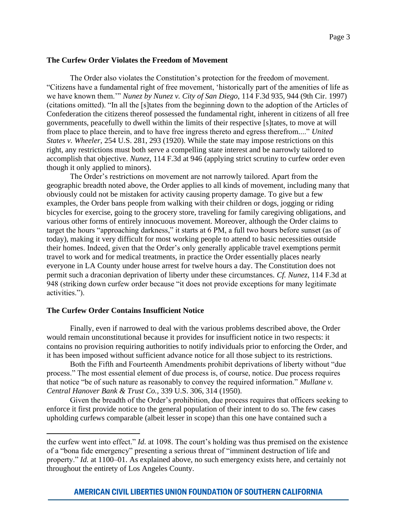### **The Curfew Order Violates the Freedom of Movement**

The Order also violates the Constitution's protection for the freedom of movement. "Citizens have a fundamental right of free movement, 'historically part of the amenities of life as we have known them.'" *Nunez by Nunez v. City of San Diego*, 114 F.3d 935, 944 (9th Cir. 1997) (citations omitted). "In all the [s]tates from the beginning down to the adoption of the Articles of Confederation the citizens thereof possessed the fundamental right, inherent in citizens of all free governments, peacefully to dwell within the limits of their respective [s]tates, to move at will from place to place therein, and to have free ingress thereto and egress therefrom...." *United States v. Wheeler*, 254 U.S. 281, 293 (1920). While the state may impose restrictions on this right, any restrictions must both serve a compelling state interest and be narrowly tailored to accomplish that objective. *Nunez*, 114 F.3d at 946 (applying strict scrutiny to curfew order even though it only applied to minors).

The Order's restrictions on movement are not narrowly tailored. Apart from the geographic breadth noted above, the Order applies to all kinds of movement, including many that obviously could not be mistaken for activity causing property damage. To give but a few examples, the Order bans people from walking with their children or dogs, jogging or riding bicycles for exercise, going to the grocery store, traveling for family caregiving obligations, and various other forms of entirely innocuous movement. Moreover, although the Order claims to target the hours "approaching darkness," it starts at 6 PM, a full two hours before sunset (as of today), making it very difficult for most working people to attend to basic necessities outside their homes. Indeed, given that the Order's only generally applicable travel exemptions permit travel to work and for medical treatments, in practice the Order essentially places nearly everyone in LA County under house arrest for twelve hours a day. The Constitution does not permit such a draconian deprivation of liberty under these circumstances. *Cf. Nunez*, 114 F.3d at 948 (striking down curfew order because "it does not provide exceptions for many legitimate activities.").

### **The Curfew Order Contains Insufficient Notice**

Finally, even if narrowed to deal with the various problems described above, the Order would remain unconstitutional because it provides for insufficient notice in two respects: it contains no provision requiring authorities to notify individuals prior to enforcing the Order, and it has been imposed without sufficient advance notice for all those subject to its restrictions.

Both the Fifth and Fourteenth Amendments prohibit deprivations of liberty without "due process." The most essential element of due process is, of course, notice. Due process requires that notice "be of such nature as reasonably to convey the required information." *Mullane v. Central Hanover Bank & Trust Co.,* 339 U.S. 306, 314 (1950).

Given the breadth of the Order's prohibition, due process requires that officers seeking to enforce it first provide notice to the general population of their intent to do so. The few cases upholding curfews comparable (albeit lesser in scope) than this one have contained such a

the curfew went into effect." *Id.* at 1098. The court's holding was thus premised on the existence of a "bona fide emergency" presenting a serious threat of "imminent destruction of life and property." *Id.* at 1100–01. As explained above, no such emergency exists here, and certainly not throughout the entirety of Los Angeles County.